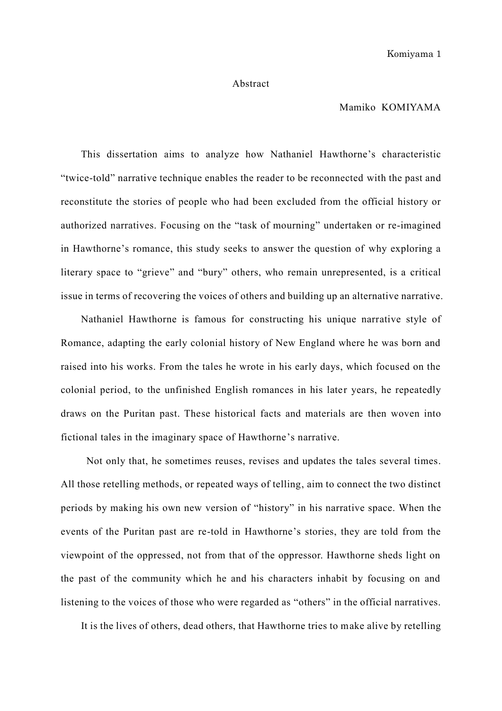## Abstract

## Mamiko KOMIYAMA

This dissertation aims to analyze how Nathaniel Hawthorne's characteristic "twice-told" narrative technique enables the reader to be reconnected with the past and reconstitute the stories of people who had been excluded from the official history or authorized narratives. Focusing on the "task of mourning" undertaken or re-imagined in Hawthorne's romance, this study seeks to answer the question of why exploring a literary space to "grieve" and "bury" others, who remain unrepresented, is a critical issue in terms of recovering the voices of others and building up an alternative narrative.

Nathaniel Hawthorne is famous for constructing his unique narrative style of Romance, adapting the early colonial history of New England where he was born and raised into his works. From the tales he wrote in his early days, which focused on the colonial period, to the unfinished English romances in his later years, he repeatedly draws on the Puritan past. These historical facts and materials are then woven into fictional tales in the imaginary space of Hawthorne's narrative.

Not only that, he sometimes reuses, revises and updates the tales several times. All those retelling methods, or repeated ways of telling, aim to connect the two distinct periods by making his own new version of "history" in his narrative space. When the events of the Puritan past are re-told in Hawthorne's stories, they are told from the viewpoint of the oppressed, not from that of the oppressor. Hawthorne sheds light on the past of the community which he and his characters inhabit by focusing on and listening to the voices of those who were regarded as "others" in the official narratives.

It is the lives of others, dead others, that Hawthorne tries to make alive by retelling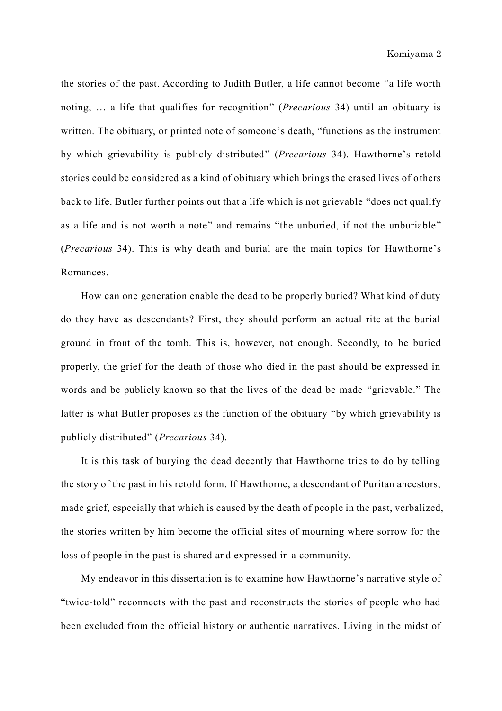the stories of the past. According to Judith Butler, a life cannot become "a life worth noting, … a life that qualifies for recognition" (*Precarious* 34) until an obituary is written. The obituary, or printed note of someone's death, "functions as the instrument by which grievability is publicly distributed" (*Precarious* 34). Hawthorne's retold stories could be considered as a kind of obituary which brings the erased lives of others back to life. Butler further points out that a life which is not grievable "does not qualify as a life and is not worth a note" and remains "the unburied, if not the unburiable" (*Precarious* 34). This is why death and burial are the main topics for Hawthorne's Romances.

How can one generation enable the dead to be properly buried? What kind of duty do they have as descendants? First, they should perform an actual rite at the burial ground in front of the tomb. This is, however, not enough. Secondly, to be buried properly, the grief for the death of those who died in the past should be expressed in words and be publicly known so that the lives of the dead be made "grievable." The latter is what Butler proposes as the function of the obituary "by which grievability is publicly distributed" (*Precarious* 34).

It is this task of burying the dead decently that Hawthorne tries to do by telling the story of the past in his retold form. If Hawthorne, a descendant of Puritan ancestors, made grief, especially that which is caused by the death of people in the past, verbalized, the stories written by him become the official sites of mourning where sorrow for the loss of people in the past is shared and expressed in a community.

My endeavor in this dissertation is to examine how Hawthorne's narrative style of "twice-told" reconnects with the past and reconstructs the stories of people who had been excluded from the official history or authentic narratives. Living in the midst of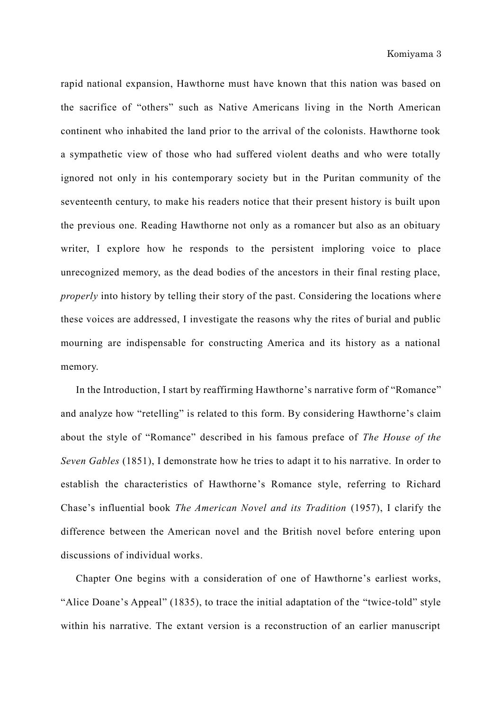rapid national expansion, Hawthorne must have known that this nation was based on the sacrifice of "others" such as Native Americans living in the North American continent who inhabited the land prior to the arrival of the colonists. Hawthorne took a sympathetic view of those who had suffered violent deaths and who were totally ignored not only in his contemporary society but in the Puritan community of the seventeenth century, to make his readers notice that their present history is built upon the previous one. Reading Hawthorne not only as a romancer but also as an obituary writer, I explore how he responds to the persistent imploring voice to place unrecognized memory, as the dead bodies of the ancestors in their final resting place, *properly* into history by telling their story of the past. Considering the locations where these voices are addressed, I investigate the reasons why the rites of burial and public mourning are indispensable for constructing America and its history as a national memory.

In the Introduction, I start by reaffirming Hawthorne's narrative form of "Romance" and analyze how "retelling" is related to this form. By considering Hawthorne's claim about the style of "Romance" described in his famous preface of *The House of the Seven Gables* (1851), I demonstrate how he tries to adapt it to his narrative. In order to establish the characteristics of Hawthorne's Romance style, referring to Richard Chase's influential book *The American Novel and its Tradition* (1957), I clarify the difference between the American novel and the British novel before entering upon discussions of individual works.

Chapter One begins with a consideration of one of Hawthorne's earliest works, "Alice Doane's Appeal" (1835), to trace the initial adaptation of the "twice-told" style within his narrative. The extant version is a reconstruction of an earlier manuscript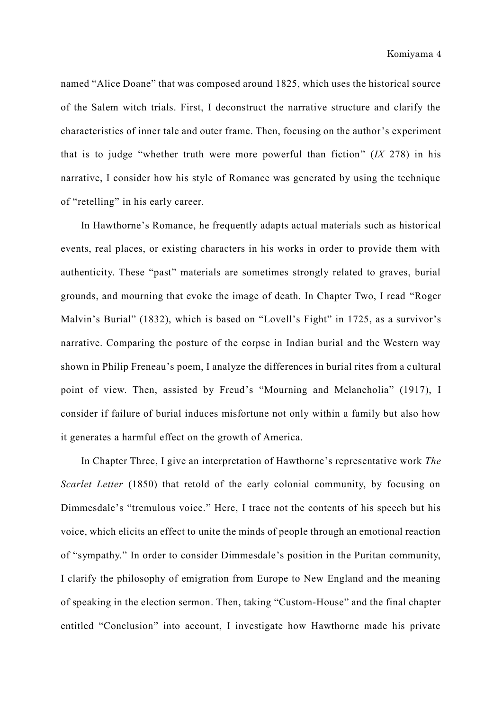named "Alice Doane" that was composed around 1825, which uses the historical source of the Salem witch trials. First, I deconstruct the narrative structure and clarify the characteristics of inner tale and outer frame. Then, focusing on the author's experiment that is to judge "whether truth were more powerful than fiction" (*IX* 278) in his narrative, I consider how his style of Romance was generated by using the technique of "retelling" in his early career.

In Hawthorne's Romance, he frequently adapts actual materials such as historical events, real places, or existing characters in his works in order to provide them with authenticity. These "past" materials are sometimes strongly related to graves, burial grounds, and mourning that evoke the image of death. In Chapter Two, I read "Roger Malvin's Burial" (1832), which is based on "Lovell's Fight" in 1725, as a survivor's narrative. Comparing the posture of the corpse in Indian burial and the Western way shown in Philip Freneau's poem, I analyze the differences in burial rites from a cultural point of view. Then, assisted by Freud's "Mourning and Melancholia" (1917), I consider if failure of burial induces misfortune not only within a family but also how it generates a harmful effect on the growth of America.

In Chapter Three, I give an interpretation of Hawthorne's representative work *The Scarlet Letter* (1850) that retold of the early colonial community, by focusing on Dimmesdale's "tremulous voice." Here, I trace not the contents of his speech but his voice, which elicits an effect to unite the minds of people through an emotional reaction of "sympathy." In order to consider Dimmesdale's position in the Puritan community, I clarify the philosophy of emigration from Europe to New England and the meaning of speaking in the election sermon. Then, taking "Custom-House" and the final chapter entitled "Conclusion" into account, I investigate how Hawthorne made his private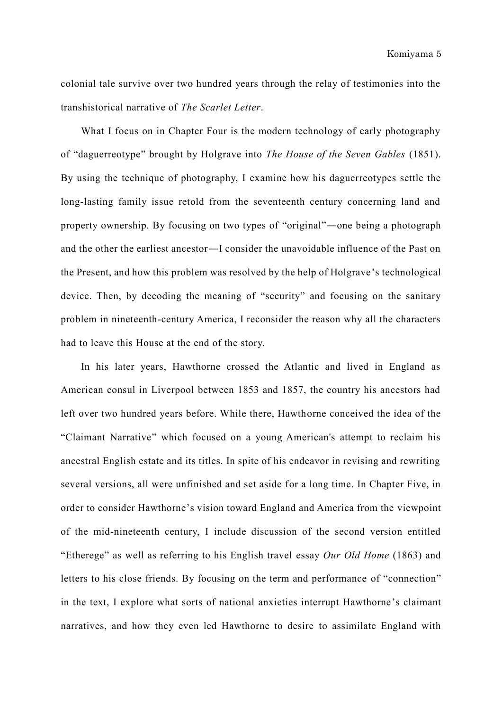colonial tale survive over two hundred years through the relay of testimonies into the transhistorical narrative of *The Scarlet Letter*.

What I focus on in Chapter Four is the modern technology of early photography of "daguerreotype" brought by Holgrave into *The House of the Seven Gables* (1851). By using the technique of photography, I examine how his daguerreotypes settle the long-lasting family issue retold from the seventeenth century concerning land and property ownership. By focusing on two types of "original"―one being a photograph and the other the earliest ancestor―I consider the unavoidable influence of the Past on the Present, and how this problem was resolved by the help of Holgrave's technological device. Then, by decoding the meaning of "security" and focusing on the sanitary problem in nineteenth-century America, I reconsider the reason why all the characters had to leave this House at the end of the story.

In his later years, Hawthorne crossed the Atlantic and lived in England as American consul in Liverpool between 1853 and 1857, the country his ancestors had left over two hundred years before. While there, Hawthorne conceived the idea of the "Claimant Narrative" which focused on a young American's attempt to reclaim his ancestral English estate and its titles. In spite of his endeavor in revising and rewriting several versions, all were unfinished and set aside for a long time. In Chapter Five, in order to consider Hawthorne's vision toward England and America from the viewpoint of the mid-nineteenth century, I include discussion of the second version entitled "Etherege" as well as referring to his English travel essay *Our Old Home* (1863) and letters to his close friends. By focusing on the term and performance of "connection" in the text, I explore what sorts of national anxieties interrupt Hawthorne's claimant narratives, and how they even led Hawthorne to desire to assimilate England with